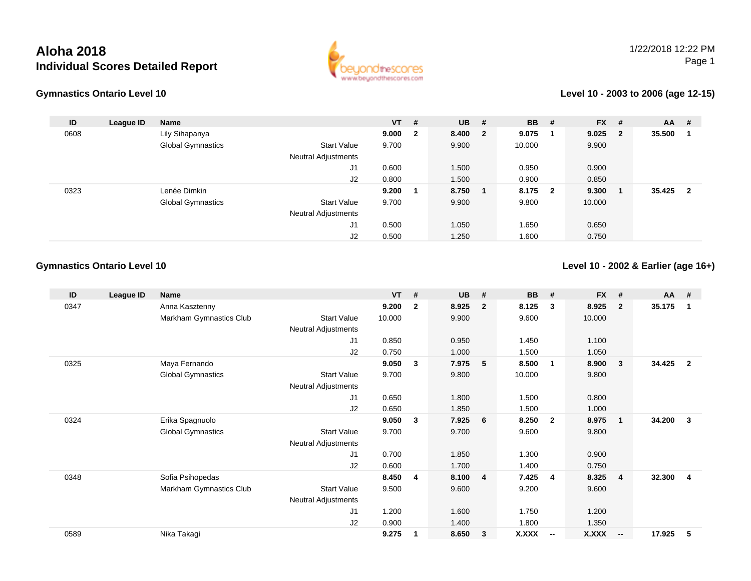# **Aloha 2018Individual Scores Detailed Report**



#### **Gymnastics Ontario Level 10**

#### **Level 10 - 2003 to 2006 (age 12-15)**

| ID   | League ID | <b>Name</b>              |                            | $VT$ #  | $UB$ #  | <b>BB</b> | # | <b>FX</b> | #                       | <b>AA</b> | #                       |
|------|-----------|--------------------------|----------------------------|---------|---------|-----------|---|-----------|-------------------------|-----------|-------------------------|
| 0608 |           | Lily Sihapanya           |                            | 9.000 2 | 8.400 2 | 9.075     |   | 9.025     | $\overline{\mathbf{2}}$ | 35.500    |                         |
|      |           | <b>Global Gymnastics</b> | <b>Start Value</b>         | 9.700   | 9.900   | 10.000    |   | 9.900     |                         |           |                         |
|      |           |                          | <b>Neutral Adjustments</b> |         |         |           |   |           |                         |           |                         |
|      |           |                          | J1                         | 0.600   | 1.500   | 0.950     |   | 0.900     |                         |           |                         |
|      |           |                          | J2                         | 0.800   | 1.500   | 0.900     |   | 0.850     |                         |           |                         |
| 0323 |           | Lenée Dimkin             |                            | 9.200   | 8.750   | 8.175 2   |   | 9.300     |                         | 35.425    | $\overline{\mathbf{2}}$ |
|      |           | <b>Global Gymnastics</b> | <b>Start Value</b>         | 9.700   | 9.900   | 9.800     |   | 10.000    |                         |           |                         |
|      |           |                          | <b>Neutral Adjustments</b> |         |         |           |   |           |                         |           |                         |
|      |           |                          | J1                         | 0.500   | 1.050   | 1.650     |   | 0.650     |                         |           |                         |
|      |           |                          | J2                         | 0.500   | 1.250   | 1.600     |   | 0.750     |                         |           |                         |

## **Gymnastics Ontario Level 10**

### **Level 10 - 2002 & Earlier (age 16+)**

| ID   | League ID | Name                     |                            | <b>VT</b> | #            | <b>UB</b> | #                       | <b>BB</b>    | #                       | <b>FX</b> | #                        | <b>AA</b> | #              |
|------|-----------|--------------------------|----------------------------|-----------|--------------|-----------|-------------------------|--------------|-------------------------|-----------|--------------------------|-----------|----------------|
| 0347 |           | Anna Kasztenny           |                            | 9.200     | $\mathbf{2}$ | 8.925     | $\overline{2}$          | 8.125        | 3                       | 8.925     | $\overline{2}$           | 35.175    | 1              |
|      |           | Markham Gymnastics Club  | Start Value                | 10.000    |              | 9.900     |                         | 9.600        |                         | 10.000    |                          |           |                |
|      |           |                          | Neutral Adjustments        |           |              |           |                         |              |                         |           |                          |           |                |
|      |           |                          | J1                         | 0.850     |              | 0.950     |                         | 1.450        |                         | 1.100     |                          |           |                |
|      |           |                          | J2                         | 0.750     |              | 1.000     |                         | 1.500        |                         | 1.050     |                          |           |                |
| 0325 |           | Maya Fernando            |                            | 9.050     | 3            | 7.975     | 5                       | 8.500        | $\overline{\mathbf{1}}$ | 8.900     | 3                        | 34.425    | $\overline{2}$ |
|      |           | <b>Global Gymnastics</b> | <b>Start Value</b>         | 9.700     |              | 9.800     |                         | 10.000       |                         | 9.800     |                          |           |                |
|      |           |                          | <b>Neutral Adjustments</b> |           |              |           |                         |              |                         |           |                          |           |                |
|      |           |                          | J1                         | 0.650     |              | 1.800     |                         | 1.500        |                         | 0.800     |                          |           |                |
|      |           |                          | J2                         | 0.650     |              | 1.850     |                         | 1.500        |                         | 1.000     |                          |           |                |
| 0324 |           | Erika Spagnuolo          |                            | 9.050     | 3            | 7.925     | 6                       | 8.250        | $\overline{\mathbf{2}}$ | 8.975     | $\mathbf{1}$             | 34.200    | $\mathbf{3}$   |
|      |           | <b>Global Gymnastics</b> | <b>Start Value</b>         | 9.700     |              | 9.700     |                         | 9.600        |                         | 9.800     |                          |           |                |
|      |           |                          | Neutral Adjustments        |           |              |           |                         |              |                         |           |                          |           |                |
|      |           |                          | J1                         | 0.700     |              | 1.850     |                         | 1.300        |                         | 0.900     |                          |           |                |
|      |           |                          | J2                         | 0.600     |              | 1.700     |                         | 1.400        |                         | 0.750     |                          |           |                |
| 0348 |           | Sofia Psihopedas         |                            | 8.450     | 4            | 8.100     | $\overline{\mathbf{4}}$ | 7.425        | $\overline{4}$          | 8.325     | $\overline{4}$           | 32.300    | 4              |
|      |           | Markham Gymnastics Club  | Start Value                | 9.500     |              | 9.600     |                         | 9.200        |                         | 9.600     |                          |           |                |
|      |           |                          | <b>Neutral Adjustments</b> |           |              |           |                         |              |                         |           |                          |           |                |
|      |           |                          | J <sub>1</sub>             | 1.200     |              | 1.600     |                         | 1.750        |                         | 1.200     |                          |           |                |
|      |           |                          | J2                         | 0.900     |              | 1.400     |                         | 1.800        |                         | 1.350     |                          |           |                |
| 0589 |           | Nika Takagi              |                            | 9.275     |              | 8.650     | $\overline{\mathbf{3}}$ | <b>X.XXX</b> | $\sim$                  | X.XXX     | $\overline{\phantom{a}}$ | 17.925    | 5              |